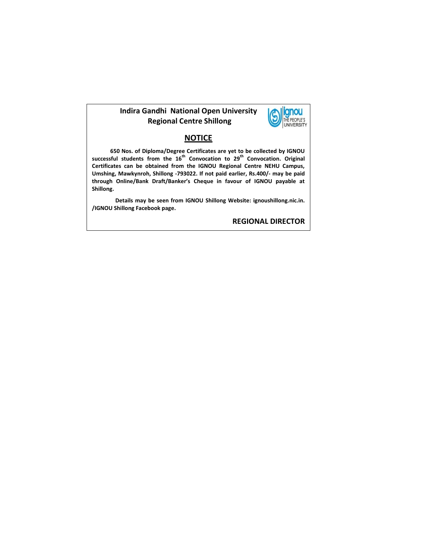#### **Indira Gandhi National Open University Regional Centre Shillong**



#### **NOTICE**

 **650 Nos. of Diploma/Degree Certificates are yet to be collected by IGNOU successful students from the 16th Convocation to 29th Convocation. Original Certificates can be obtained from the IGNOU Regional Centre NEHU Campus, Umshing, Mawkynroh, Shillong -793022. If not paid earlier, Rs.400/- may be paid through Online/Bank Draft/Banker's Cheque in favour of IGNOU payable at Shillong.** 

**Details may be seen from IGNOU Shillong Website: ignoushillong.nic.in. /IGNOU Shillong Facebook page.**

**REGIONAL DIRECTOR**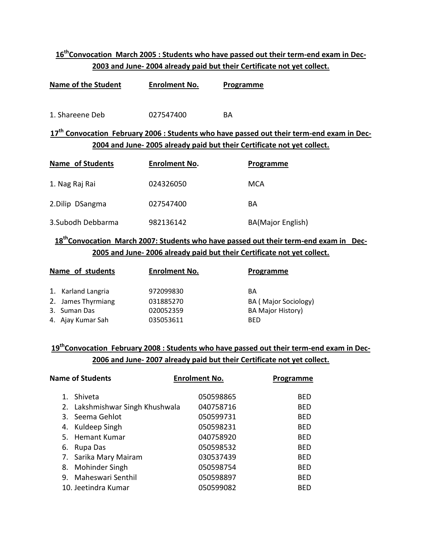# **16thConvocation March 2005 : Students who have passed out their term-end exam in Dec-2003 and June- 2004 already paid but their Certificate not yet collect.**

| Name of the Student | <b>Enrolment No.</b> | Programme |
|---------------------|----------------------|-----------|
| 1. Shareene Deb     | 027547400            | RА        |

### **17th Convocation February 2006 : Students who have passed out their term-end exam in Dec-2004 and June- 2005 already paid but their Certificate not yet collect.**

| Name of Students   | <b>Enrolment No.</b> | Programme                |
|--------------------|----------------------|--------------------------|
| 1. Nag Raj Rai     | 024326050            | MCA                      |
| 2. Dilip DSangma   | 027547400            | BA                       |
| 3. Subodh Debbarma | 982136142            | <b>BA(Major English)</b> |

# **18thConvocation March 2007: Students who have passed out their term-end exam in Dec-2005 and June- 2006 already paid but their Certificate not yet collect.**

| Name of students |                    | <b>Enrolment No.</b> | Programme                |
|------------------|--------------------|----------------------|--------------------------|
|                  | 1. Karland Langria | 972099830            | BА                       |
|                  | 2. James Thyrmiang | 031885270            | BA (Major Sociology)     |
|                  | 3. Suman Das       | 020052359            | <b>BA Major History)</b> |
|                  | 4. Ajay Kumar Sah  | 035053611            | <b>BED</b>               |

### **19thConvocation February 2008 : Students who have passed out their term-end exam in Dec-2006 and June- 2007 already paid but their Certificate not yet collect.**

| <b>Name of Students</b> |                                 | <b>Enrolment No.</b> | Programme  |
|-------------------------|---------------------------------|----------------------|------------|
| $1_{-}$                 | Shiveta                         | 050598865            | <b>BFD</b> |
|                         | 2. Lakshmishwar Singh Khushwala | 040758716            | <b>BED</b> |
|                         | 3. Seema Gehlot                 | 050599731            | <b>BED</b> |
|                         | 4. Kuldeep Singh                | 050598231            | <b>BED</b> |
|                         | 5. Hemant Kumar                 | 040758920            | <b>BED</b> |
| 6.                      | Rupa Das                        | 050598532            | <b>BFD</b> |
|                         | 7. Sarika Mary Mairam           | 030537439            | <b>BFD</b> |
|                         | 8. Mohinder Singh               | 050598754            | <b>BFD</b> |
|                         | 9. Maheswari Senthil            | 050598897            | <b>BFD</b> |
|                         | 10. Jeetindra Kumar             | 050599082            | <b>BFD</b> |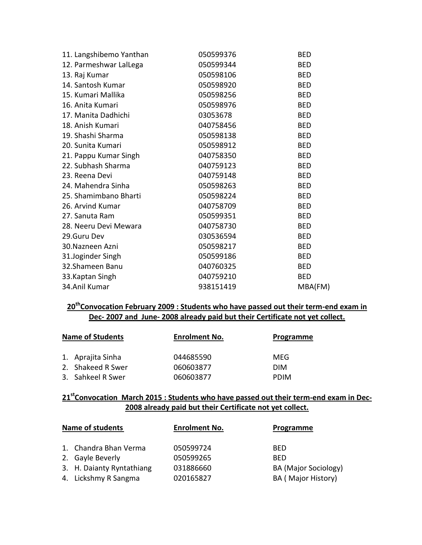| 11. Langshibemo Yanthan | 050599376 | <b>BED</b> |
|-------------------------|-----------|------------|
| 12. Parmeshwar LalLega  | 050599344 | <b>BED</b> |
| 13. Raj Kumar           | 050598106 | <b>BED</b> |
| 14. Santosh Kumar       | 050598920 | <b>BED</b> |
| 15. Kumari Mallika      | 050598256 | <b>BED</b> |
| 16. Anita Kumari        | 050598976 | <b>BED</b> |
| 17. Manita Dadhichi     | 03053678  | <b>BED</b> |
| 18. Anish Kumari        | 040758456 | <b>BED</b> |
| 19. Shashi Sharma       | 050598138 | <b>BED</b> |
| 20. Sunita Kumari       | 050598912 | <b>BED</b> |
| 21. Pappu Kumar Singh   | 040758350 | <b>BED</b> |
| 22. Subhash Sharma      | 040759123 | <b>BED</b> |
| 23. Reena Devi          | 040759148 | <b>BED</b> |
| 24. Mahendra Sinha      | 050598263 | <b>BED</b> |
| 25. Shamimbano Bharti   | 050598224 | <b>BED</b> |
| 26. Arvind Kumar        | 040758709 | <b>BED</b> |
| 27. Sanuta Ram          | 050599351 | <b>BED</b> |
| 28. Neeru Devi Mewara   | 040758730 | <b>BED</b> |
| 29.Guru Dev             | 030536594 | <b>BED</b> |
| 30. Nazneen Azni        | 050598217 | <b>BED</b> |
| 31.Joginder Singh       | 050599186 | <b>BED</b> |
| 32.Shameen Banu         | 040760325 | <b>BED</b> |
| 33. Kaptan Singh        | 040759210 | <b>BED</b> |
| 34.Anil Kumar           | 938151419 | MBA(FM)    |
|                         |           |            |

#### **20thConvocation February 2009 : Students who have passed out their term-end exam in Dec- 2007 and June- 2008 already paid but their Certificate not yet collect.**

| <b>Name of Students</b> |                   | <b>Enrolment No.</b> | Programme   |
|-------------------------|-------------------|----------------------|-------------|
|                         | 1. Aprajita Sinha | 044685590            | MFG         |
|                         | 2. Shakeed R Swer | 060603877            | <b>DIM</b>  |
|                         | 3. Sahkeel R Swer | 060603877            | <b>PDIM</b> |

## **21stConvocation March 2015 : Students who have passed out their term-end exam in Dec-2008 already paid but their Certificate not yet collect.**

| <b>Name of students</b>   | <b>Enrolment No.</b> | Programme                   |
|---------------------------|----------------------|-----------------------------|
| 1. Chandra Bhan Verma     | 050599724            | BED                         |
| 2. Gayle Beverly          | 050599265            | <b>BFD</b>                  |
| 3. H. Daianty Ryntathiang | 031886660            | <b>BA (Major Sociology)</b> |
| 4. Lickshmy R Sangma      | 020165827            | BA (Major History)          |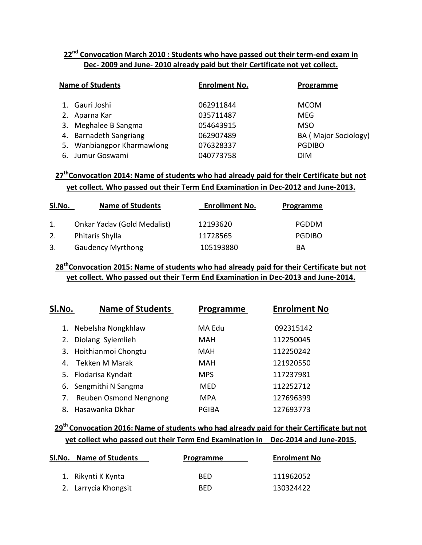## **22nd Convocation March 2010 : Students who have passed out their term-end exam in Dec- 2009 and June- 2010 already paid but their Certificate not yet collect.**

| <b>Name of Students</b>    | <b>Enrolment No.</b> | Programme            |
|----------------------------|----------------------|----------------------|
| 1. Gauri Joshi             | 062911844            | <b>MCOM</b>          |
| 2. Aparna Kar              | 035711487            | MEG                  |
| 3. Meghalee B Sangma       | 054643915            | <b>MSO</b>           |
| 4. Barnadeth Sangriang     | 062907489            | BA (Major Sociology) |
| 5. Wanbiangpor Kharmawlong | 076328337            | <b>PGDIBO</b>        |
| 6. Jumur Goswami           | 040773758            | <b>DIM</b>           |

## **27thConvocation 2014: Name of students who had already paid for their Certificate but not yet collect. Who passed out their Term End Examination in Dec-2012 and June-2013.**

| Sl.No. | <b>Name of Students</b>     | <b>Enrollment No.</b> | Programme     |
|--------|-----------------------------|-----------------------|---------------|
| 1.     | Onkar Yadav (Gold Medalist) | 12193620              | PGDDM         |
| 2.     | Phitaris Shylla             | 11728565              | <b>PGDIBO</b> |
| 3.     | <b>Gaudency Myrthong</b>    | 105193880             | BА            |

### **28thConvocation 2015: Name of students who had already paid for their Certificate but not yet collect. Who passed out their Term End Examination in Dec-2013 and June-2014.**

| Sl.No. | <b>Name of Students</b> | Programme    | <b>Enrolment No</b> |
|--------|-------------------------|--------------|---------------------|
| 1.     | Nebelsha Nongkhlaw      | MA Edu       | 092315142           |
| 2.     | Diolang Syiemlieh       | MAH          | 112250045           |
|        | 3. Hoithianmoi Chongtu  | MAH          | 112250242           |
| 4.     | Tekken M Marak          | MAH          | 121920550           |
|        | 5. Flodarisa Kyndait    | <b>MPS</b>   | 117237981           |
|        | 6. Sengmithi N Sangma   | <b>MFD</b>   | 112252712           |
| 7.     | Reuben Osmond Nengnong  | <b>MPA</b>   | 127696399           |
| 8.     | Hasawanka Dkhar         | <b>PGIBA</b> | 127693773           |

## **29th Convocation 2016: Name of students who had already paid for their Certificate but not yet collect who passed out their Term End Examination in Dec-2014 and June-2015.**

| SI.No. Name of Students | Programme  | <b>Enrolment No</b> |
|-------------------------|------------|---------------------|
| 1. Rikynti K Kynta      | <b>BFD</b> | 111962052           |
| 2. Larrycia Khongsit    | <b>BED</b> | 130324422           |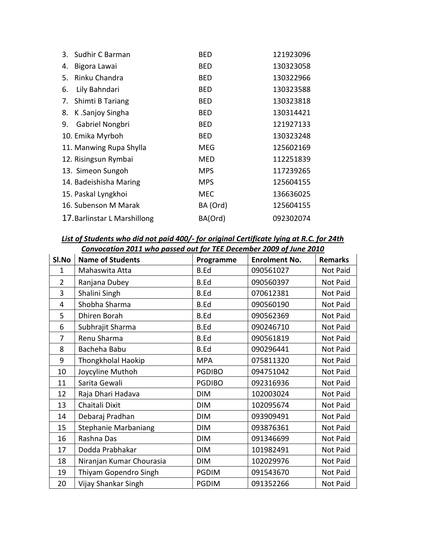|    | 3. Sudhir C Barman           | <b>BED</b> | 121923096 |
|----|------------------------------|------------|-----------|
| 4. | Bigora Lawai                 | BED        | 130323058 |
| 5. | Rinku Chandra                | BED        | 130322966 |
| 6. | Lily Bahndari                | BED        | 130323588 |
| 7. | Shimti B Tariang             | BED        | 130323818 |
| 8. | K.Sanjoy Singha              | BED        | 130314421 |
| 9. | Gabriel Nongbri              | BED        | 121927133 |
|    | 10. Emika Myrboh             | <b>BED</b> | 130323248 |
|    | 11. Manwing Rupa Shylla      | <b>MEG</b> | 125602169 |
|    | 12. Risingsun Rymbai         | <b>MED</b> | 112251839 |
|    | 13. Simeon Sungoh            | <b>MPS</b> | 117239265 |
|    | 14. Badeishisha Maring       | <b>MPS</b> | 125604155 |
|    | 15. Paskal Lyngkhoi          | <b>MEC</b> | 136636025 |
|    | 16. Subenson M Marak         | BA (Ord)   | 125604155 |
|    | 17. Barlinstar L Marshillong | BA(Ord)    | 092302074 |

*List of Students who did not paid 400/- for original Certificate lying at R.C. for 24th Convocation 2011 who passed out for TEE December 2009 of June 2010*

|                |                             | Convocation 2011 who passed out for TEL December 2009 of June 2010 |                      |                |  |  |
|----------------|-----------------------------|--------------------------------------------------------------------|----------------------|----------------|--|--|
| SI.No          | <b>Name of Students</b>     | Programme                                                          | <b>Enrolment No.</b> | <b>Remarks</b> |  |  |
| $\mathbf{1}$   | Mahaswita Atta              | <b>B.Ed</b>                                                        | 090561027            | Not Paid       |  |  |
| $\overline{2}$ | Ranjana Dubey               | <b>B.Ed</b>                                                        | 090560397            | Not Paid       |  |  |
| 3              | Shalini Singh               | <b>B.Ed</b>                                                        | 070612381            | Not Paid       |  |  |
| $\overline{4}$ | Shobha Sharma               | <b>B.Ed</b>                                                        | 090560190            | Not Paid       |  |  |
| 5              | Dhiren Borah                | <b>B.Ed</b>                                                        | 090562369            | Not Paid       |  |  |
| 6              | Subhrajit Sharma            | <b>B.Ed</b>                                                        | 090246710            | Not Paid       |  |  |
| 7              | Renu Sharma                 | <b>B.Ed</b>                                                        | 090561819            | Not Paid       |  |  |
| 8              | Bacheha Babu                | <b>B.Ed</b>                                                        | 090296441            | Not Paid       |  |  |
| 9              | <b>Thongkholal Haokip</b>   | <b>MPA</b>                                                         | 075811320            | Not Paid       |  |  |
| 10             | Joycyline Muthoh            | <b>PGDIBO</b>                                                      | 094751042            | Not Paid       |  |  |
| 11             | Sarita Gewali               | <b>PGDIBO</b>                                                      | 092316936            | Not Paid       |  |  |
| 12             | Raja Dhari Hadava           | <b>DIM</b>                                                         | 102003024            | Not Paid       |  |  |
| 13             | Chaitali Dixit              | <b>DIM</b>                                                         | 102095674            | Not Paid       |  |  |
| 14             | Debaraj Pradhan             | <b>DIM</b>                                                         | 093909491            | Not Paid       |  |  |
| 15             | <b>Stephanie Marbaniang</b> | <b>DIM</b>                                                         | 093876361            | Not Paid       |  |  |
| 16             | Rashna Das                  | <b>DIM</b>                                                         | 091346699            | Not Paid       |  |  |
| 17             | Dodda Prabhakar             | <b>DIM</b>                                                         | 101982491            | Not Paid       |  |  |
| 18             | Niranjan Kumar Chourasia    | <b>DIM</b>                                                         | 102029976            | Not Paid       |  |  |
| 19             | Thiyam Gopendro Singh       | <b>PGDIM</b>                                                       | 091543670            | Not Paid       |  |  |
| 20             | Vijay Shankar Singh         | <b>PGDIM</b>                                                       | 091352266            | Not Paid       |  |  |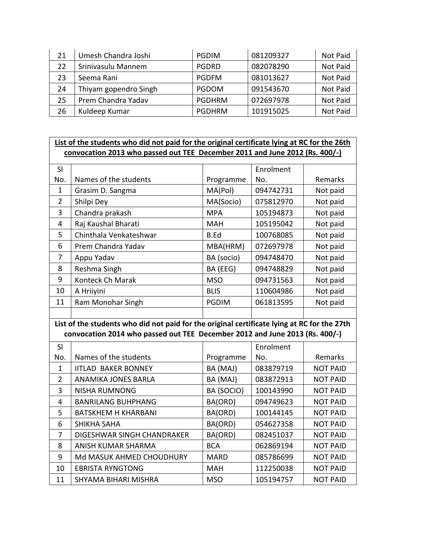| 21 | Umesh Chandra Joshi   | <b>PGDIM</b>  | 081209327 | Not Paid |
|----|-----------------------|---------------|-----------|----------|
| 22 | Srinivasulu Mannem    | <b>PGDRD</b>  | 082078290 | Not Paid |
| 23 | Seema Rani            | <b>PGDFM</b>  | 081013627 | Not Paid |
| 24 | Thiyam gopendro Singh | <b>PGDOM</b>  | 091543670 | Not Paid |
| 25 | Prem Chandra Yadav    | <b>PGDHRM</b> | 072697978 | Not Paid |
| 26 | Kuldeep Kumar         | <b>PGDHRM</b> | 101915025 | Not Paid |

#### List of the students who did not paid for the original certificate lying at RC for the 26th **convocation 2013 who passed out TEE December 2011 and June 2012 (Rs. 400/-)**

| SI  |                        |              | Enrolment |          |
|-----|------------------------|--------------|-----------|----------|
| No. | Names of the students  | Programme    | No.       | Remarks  |
| 1   | Grasim D. Sangma       | MA(Pol)      | 094742731 | Not paid |
| 2   | Shilpi Dey             | MA(Socio)    | 075812970 | Not paid |
| 3   | Chandra prakash        | <b>MPA</b>   | 105194873 | Not paid |
| 4   | Raj Kaushal Bharati    | MAH          | 105195042 | Not paid |
| 5   | Chinthala Venkateshwar | B.Ed         | 100768085 | Not paid |
| 6   | Prem Chandra Yadav     | MBA(HRM)     | 072697978 | Not paid |
| 7   | Appu Yadav             | BA (socio)   | 094748470 | Not paid |
| 8   | Reshma Singh           | BA (EEG)     | 094748829 | Not paid |
| 9   | Konteck Ch Marak       | <b>MSO</b>   | 094731563 | Not paid |
| 10  | A Hriiyini             | <b>BLIS</b>  | 110604986 | Not paid |
| 11  | Ram Monohar Singh      | <b>PGDIM</b> | 061813595 | Not paid |
|     |                        |              |           |          |

**List of the students who did not paid for the original certificate lying at RC for the 27th convocation 2014 who passed out TEE December 2012 and June 2013 (Rs. 400/-)**

| SI  |                            |             | Enrolment |                 |
|-----|----------------------------|-------------|-----------|-----------------|
| No. | Names of the students      | Programme   | No.       | Remarks         |
| 1   | <b>IITLAD BAKER BONNEY</b> | BA (MAJ)    | 083879719 | <b>NOT PAID</b> |
| 2   | <b>ANAMIKA JONES BARLA</b> | BA (MAJ)    | 083872913 | <b>NOT PAID</b> |
| 3   | <b>NISHA RUMNONG</b>       | BA (SOCIO)  | 100143990 | <b>NOT PAID</b> |
| 4   | <b>BANRILANG BUHPHANG</b>  | BA(ORD)     | 094749623 | <b>NOT PAID</b> |
| 5.  | <b>BATSKHEM H KHARBANI</b> | BA(ORD)     | 100144145 | <b>NOT PAID</b> |
| 6   | <b>SHIKHA SAHA</b>         | BA(ORD)     | 054627358 | <b>NOT PAID</b> |
| 7   | DIGESHWAR SINGH CHANDRAKER | BA(ORD)     | 082451037 | <b>NOT PAID</b> |
| 8   | ANISH KUMAR SHARMA         | <b>BCA</b>  | 062869194 | <b>NOT PAID</b> |
| 9   | Md MASUK AHMED CHOUDHURY   | <b>MARD</b> | 085786699 | <b>NOT PAID</b> |
| 10  | <b>EBRISTA RYNGTONG</b>    | <b>MAH</b>  | 112250038 | <b>NOT PAID</b> |
| 11  | SHYAMA BIHARI MISHRA       | <b>MSO</b>  | 105194757 | <b>NOT PAID</b> |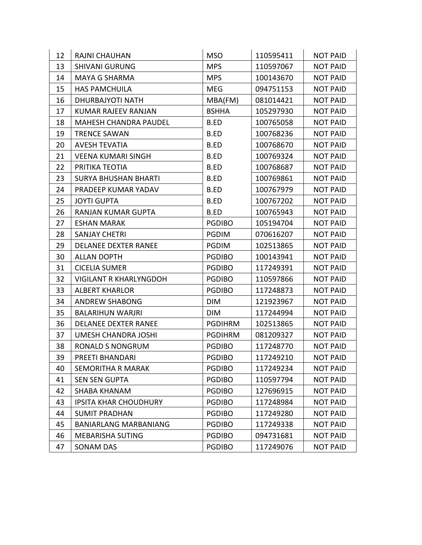| 12 | RAJNI CHAUHAN                 | <b>MSO</b>     | 110595411 | <b>NOT PAID</b> |
|----|-------------------------------|----------------|-----------|-----------------|
| 13 | <b>SHIVANI GURUNG</b>         | <b>MPS</b>     | 110597067 | <b>NOT PAID</b> |
| 14 | <b>MAYA G SHARMA</b>          | <b>MPS</b>     | 100143670 | <b>NOT PAID</b> |
| 15 | <b>HAS PAMCHUILA</b>          | <b>MEG</b>     | 094751153 | <b>NOT PAID</b> |
| 16 | DHURBAJYOTI NATH              | MBA(FM)        | 081014421 | <b>NOT PAID</b> |
| 17 | KUMAR RAJEEV RANJAN           | <b>BSHHA</b>   | 105297930 | <b>NOT PAID</b> |
| 18 | <b>MAHESH CHANDRA PAUDEL</b>  | B.ED           | 100765058 | <b>NOT PAID</b> |
| 19 | <b>TRENCE SAWAN</b>           | B.ED           | 100768236 | <b>NOT PAID</b> |
| 20 | <b>AVESH TEVATIA</b>          | B.ED           | 100768670 | <b>NOT PAID</b> |
| 21 | <b>VEENA KUMARI SINGH</b>     | B.ED           | 100769324 | <b>NOT PAID</b> |
| 22 | PRITIKA TEOTIA                | B.ED           | 100768687 | <b>NOT PAID</b> |
| 23 | <b>SURYA BHUSHAN BHARTI</b>   | B.ED           | 100769861 | <b>NOT PAID</b> |
| 24 | PRADEEP KUMAR YADAV           | B.ED           | 100767979 | <b>NOT PAID</b> |
| 25 | <b>JOYTI GUPTA</b>            | B.ED           | 100767202 | <b>NOT PAID</b> |
| 26 | RANJAN KUMAR GUPTA            | B.ED           | 100765943 | <b>NOT PAID</b> |
| 27 | <b>ESHAN MARAK</b>            | <b>PGDIBO</b>  | 105194704 | <b>NOT PAID</b> |
| 28 | <b>SANJAY CHETRI</b>          | <b>PGDIM</b>   | 070616207 | <b>NOT PAID</b> |
| 29 | <b>DELANEE DEXTER RANEE</b>   | <b>PGDIM</b>   | 102513865 | <b>NOT PAID</b> |
| 30 | <b>ALLAN DOPTH</b>            | <b>PGDIBO</b>  | 100143941 | <b>NOT PAID</b> |
| 31 | <b>CICELIA SUMER</b>          | <b>PGDIBO</b>  | 117249391 | <b>NOT PAID</b> |
| 32 | <b>VIGILANT R KHARLYNGDOH</b> | <b>PGDIBO</b>  | 110597866 | <b>NOT PAID</b> |
| 33 | <b>ALBERT KHARLOR</b>         | <b>PGDIBO</b>  | 117248873 | <b>NOT PAID</b> |
| 34 | <b>ANDREW SHABONG</b>         | <b>DIM</b>     | 121923967 | <b>NOT PAID</b> |
| 35 | <b>BALARIHUN WARJRI</b>       | <b>DIM</b>     | 117244994 | <b>NOT PAID</b> |
| 36 | <b>DELANEE DEXTER RANEE</b>   | <b>PGDIHRM</b> | 102513865 | <b>NOT PAID</b> |
| 37 | UMESH CHANDRA JOSHI           | <b>PGDIHRM</b> | 081209327 | <b>NOT PAID</b> |
| 38 | <b>RONALD S NONGRUM</b>       | <b>PGDIBO</b>  | 117248770 | <b>NOT PAID</b> |
| 39 | PREETI BHANDARI               | <b>PGDIBO</b>  | 117249210 | <b>NOT PAID</b> |
| 40 | SEMORITHA R MARAK             | <b>PGDIBO</b>  | 117249234 | <b>NOT PAID</b> |
| 41 | <b>SEN SEN GUPTA</b>          | <b>PGDIBO</b>  | 110597794 | NOT PAID        |
| 42 | <b>SHABA KHANAM</b>           | <b>PGDIBO</b>  | 127696915 | <b>NOT PAID</b> |
| 43 | <b>IPSITA KHAR CHOUDHURY</b>  | <b>PGDIBO</b>  | 117248984 | <b>NOT PAID</b> |
| 44 | <b>SUMIT PRADHAN</b>          | <b>PGDIBO</b>  | 117249280 | <b>NOT PAID</b> |
| 45 | <b>BANIARLANG MARBANIANG</b>  | <b>PGDIBO</b>  | 117249338 | <b>NOT PAID</b> |
| 46 | <b>MEBARISHA SUTING</b>       | <b>PGDIBO</b>  | 094731681 | <b>NOT PAID</b> |
| 47 | <b>SONAM DAS</b>              | <b>PGDIBO</b>  | 117249076 | <b>NOT PAID</b> |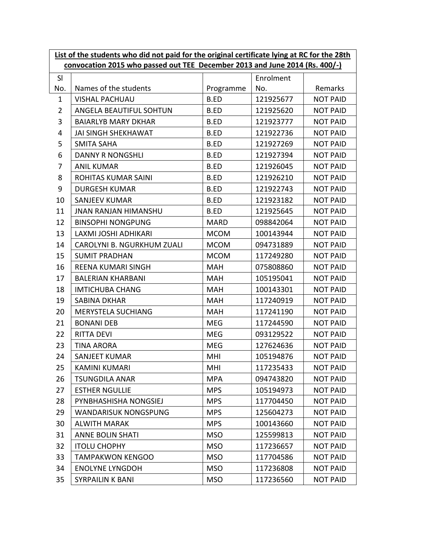|                | List of the students who did not paid for the original certificate lying at RC for the 28th |             |           |                 |  |
|----------------|---------------------------------------------------------------------------------------------|-------------|-----------|-----------------|--|
|                | convocation 2015 who passed out TEE December 2013 and June 2014 (Rs. 400/-)                 |             |           |                 |  |
| SI             |                                                                                             |             | Enrolment |                 |  |
| No.            | Names of the students                                                                       | Programme   | No.       | Remarks         |  |
| $\mathbf{1}$   | <b>VISHAL PACHUAU</b>                                                                       | B.ED        | 121925677 | <b>NOT PAID</b> |  |
| $\overline{2}$ | ANGELA BEAUTIFUL SOHTUN                                                                     | B.ED        | 121925620 | <b>NOT PAID</b> |  |
| 3              | <b>BAIARLYB MARY DKHAR</b>                                                                  | <b>B.ED</b> | 121923777 | <b>NOT PAID</b> |  |
| 4              | <b>JAI SINGH SHEKHAWAT</b>                                                                  | <b>B.ED</b> | 121922736 | <b>NOT PAID</b> |  |
| 5              | <b>SMITA SAHA</b>                                                                           | <b>B.ED</b> | 121927269 | <b>NOT PAID</b> |  |
| 6              | <b>DANNY R NONGSHLI</b>                                                                     | <b>B.ED</b> | 121927394 | <b>NOT PAID</b> |  |
| 7              | <b>ANIL KUMAR</b>                                                                           | <b>B.ED</b> | 121926045 | <b>NOT PAID</b> |  |
| 8              | ROHITAS KUMAR SAINI                                                                         | <b>B.ED</b> | 121926210 | <b>NOT PAID</b> |  |
| 9              | <b>DURGESH KUMAR</b>                                                                        | <b>B.ED</b> | 121922743 | <b>NOT PAID</b> |  |
| 10             | <b>SANJEEV KUMAR</b>                                                                        | <b>B.ED</b> | 121923182 | <b>NOT PAID</b> |  |
| 11             | <b>JNAN RANJAN HIMANSHU</b>                                                                 | <b>B.ED</b> | 121925645 | <b>NOT PAID</b> |  |
| 12             | <b>BINSOPHI NONGPUNG</b>                                                                    | <b>MARD</b> | 098842064 | <b>NOT PAID</b> |  |
| 13             | LAXMI JOSHI ADHIKARI                                                                        | <b>MCOM</b> | 100143944 | <b>NOT PAID</b> |  |
| 14             | CAROLYNI B. NGURKHUM ZUALI                                                                  | <b>MCOM</b> | 094731889 | <b>NOT PAID</b> |  |
| 15             | <b>SUMIT PRADHAN</b>                                                                        | <b>MCOM</b> | 117249280 | <b>NOT PAID</b> |  |
| 16             | REENA KUMARI SINGH                                                                          | <b>MAH</b>  | 075808860 | <b>NOT PAID</b> |  |
| 17             | <b>BALERIAN KHARBANI</b>                                                                    | <b>MAH</b>  | 105195041 | <b>NOT PAID</b> |  |
| 18             | <b>IMTICHUBA CHANG</b>                                                                      | <b>MAH</b>  | 100143301 | <b>NOT PAID</b> |  |
| 19             | <b>SABINA DKHAR</b>                                                                         | <b>MAH</b>  | 117240919 | <b>NOT PAID</b> |  |
| 20             | <b>MERYSTELA SUCHIANG</b>                                                                   | <b>MAH</b>  | 117241190 | <b>NOT PAID</b> |  |
| 21             | <b>BONANI DEB</b>                                                                           | <b>MEG</b>  | 117244590 | <b>NOT PAID</b> |  |
| 22             | <b>RITTA DEVI</b>                                                                           | <b>MEG</b>  | 093129522 | <b>NOT PAID</b> |  |
| 23             | <b>TINA ARORA</b>                                                                           | <b>MEG</b>  | 127624636 | <b>NOT PAID</b> |  |
| 24             | SANJEET KUMAR                                                                               | MHI         | 105194876 | <b>NOT PAID</b> |  |
| 25             | <b>KAMINI KUMARI</b>                                                                        | MHI         | 117235433 | <b>NOT PAID</b> |  |
| 26             | <b>TSUNGDILA ANAR</b>                                                                       | <b>MPA</b>  | 094743820 | <b>NOT PAID</b> |  |
| 27             | <b>ESTHER NGULLIE</b>                                                                       | <b>MPS</b>  | 105194973 | <b>NOT PAID</b> |  |
| 28             | PYNBHASHISHA NONGSIEJ                                                                       | <b>MPS</b>  | 117704450 | <b>NOT PAID</b> |  |
| 29             | <b>WANDARISUK NONGSPUNG</b>                                                                 | <b>MPS</b>  | 125604273 | <b>NOT PAID</b> |  |
| 30             | <b>ALWITH MARAK</b>                                                                         | <b>MPS</b>  | 100143660 | <b>NOT PAID</b> |  |
| 31             | <b>ANNE BOLIN SHATI</b>                                                                     | <b>MSO</b>  | 125599813 | <b>NOT PAID</b> |  |
| 32             | <b>ITOLU CHOPHY</b>                                                                         | <b>MSO</b>  | 117236657 | <b>NOT PAID</b> |  |
| 33             | <b>TAMPAKWON KENGOO</b>                                                                     | <b>MSO</b>  | 117704586 | <b>NOT PAID</b> |  |
| 34             | <b>ENOLYNE LYNGDOH</b>                                                                      | <b>MSO</b>  | 117236808 | <b>NOT PAID</b> |  |
| 35             | <b>SYRPAILIN K BANI</b>                                                                     | <b>MSO</b>  | 117236560 | <b>NOT PAID</b> |  |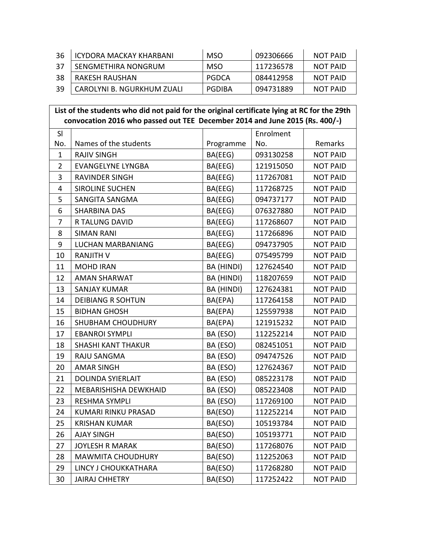| -36 | <b>ICYDORA MACKAY KHARBANI</b> | <b>MSO</b> | 092306666 | NOT PAID        |
|-----|--------------------------------|------------|-----------|-----------------|
| 37  | SENGMETHIRA NONGRUM            | <b>MSO</b> | 117236578 | <b>NOT PAID</b> |
| -38 | RAKESH RAUSHAN                 | PGDCA      | 084412958 | <b>NOT PAID</b> |
| -39 | CAROLYNI B. NGURKHUM ZUALI     | PGDIBA     | 094731889 | <b>NOT PAID</b> |

#### **List of the students who did not paid for the original certificate lying at RC for the 29th convocation 2016 who passed out TEE December 2014 and June 2015 (Rs. 400/-)**

| SI             |                           |            | Enrolment |                 |
|----------------|---------------------------|------------|-----------|-----------------|
| No.            | Names of the students     | Programme  | No.       | Remarks         |
| $\mathbf{1}$   | <b>RAJIV SINGH</b>        | BA(EEG)    | 093130258 | <b>NOT PAID</b> |
| $\overline{2}$ | <b>EVANGELYNE LYNGBA</b>  | BA(EEG)    | 121915050 | <b>NOT PAID</b> |
| 3              | <b>RAVINDER SINGH</b>     | BA(EEG)    | 117267081 | <b>NOT PAID</b> |
| $\overline{4}$ | <b>SIROLINE SUCHEN</b>    | BA(EEG)    | 117268725 | <b>NOT PAID</b> |
| 5              | SANGITA SANGMA            | BA(EEG)    | 094737177 | <b>NOT PAID</b> |
| 6              | <b>SHARBINA DAS</b>       | BA(EEG)    | 076327880 | <b>NOT PAID</b> |
| $\overline{7}$ | R TALUNG DAVID            | BA(EEG)    | 117268607 | <b>NOT PAID</b> |
| 8              | <b>SIMAN RANI</b>         | BA(EEG)    | 117266896 | <b>NOT PAID</b> |
| 9              | <b>LUCHAN MARBANIANG</b>  | BA(EEG)    | 094737905 | <b>NOT PAID</b> |
| 10             | <b>RANJITH V</b>          | BA(EEG)    | 075495799 | <b>NOT PAID</b> |
| 11             | <b>MOHD IRAN</b>          | BA (HINDI) | 127624540 | <b>NOT PAID</b> |
| 12             | <b>AMAN SHARWAT</b>       | BA (HINDI) | 118207659 | <b>NOT PAID</b> |
| 13             | <b>SANJAY KUMAR</b>       | BA (HINDI) | 127624381 | <b>NOT PAID</b> |
| 14             | <b>DEIBIANG R SOHTUN</b>  | BA(EPA)    | 117264158 | <b>NOT PAID</b> |
| 15             | <b>BIDHAN GHOSH</b>       | BA(EPA)    | 125597938 | <b>NOT PAID</b> |
| 16             | SHUBHAM CHOUDHURY         | BA(EPA)    | 121915232 | <b>NOT PAID</b> |
| 17             | <b>EBANROI SYMPLI</b>     | BA (ESO)   | 112252214 | <b>NOT PAID</b> |
| 18             | <b>SHASHI KANT THAKUR</b> | BA (ESO)   | 082451051 | <b>NOT PAID</b> |
| 19             | RAJU SANGMA               | BA (ESO)   | 094747526 | <b>NOT PAID</b> |
| 20             | <b>AMAR SINGH</b>         | BA (ESO)   | 127624367 | <b>NOT PAID</b> |
| 21             | <b>DOLINDA SYIERLAIT</b>  | BA (ESO)   | 085223178 | <b>NOT PAID</b> |
| 22             | MEBARISHISHA DEWKHAID     | BA (ESO)   | 085223408 | <b>NOT PAID</b> |
| 23             | RESHMA SYMPLI             | BA (ESO)   | 117269100 | <b>NOT PAID</b> |
| 24             | KUMARI RINKU PRASAD       | BA(ESO)    | 112252214 | <b>NOT PAID</b> |
| 25             | <b>KRISHAN KUMAR</b>      | BA(ESO)    | 105193784 | <b>NOT PAID</b> |
| 26             | <b>AJAY SINGH</b>         | BA(ESO)    | 105193771 | <b>NOT PAID</b> |
| 27             | <b>JOYLESH R MARAK</b>    | BA(ESO)    | 117268076 | <b>NOT PAID</b> |
| 28             | <b>MAWMITA CHOUDHURY</b>  | BA(ESO)    | 112252063 | <b>NOT PAID</b> |
| 29             | LINCY J CHOUKKATHARA      | BA(ESO)    | 117268280 | <b>NOT PAID</b> |
| 30             | <b>JAIRAJ CHHETRY</b>     | BA(ESO)    | 117252422 | <b>NOT PAID</b> |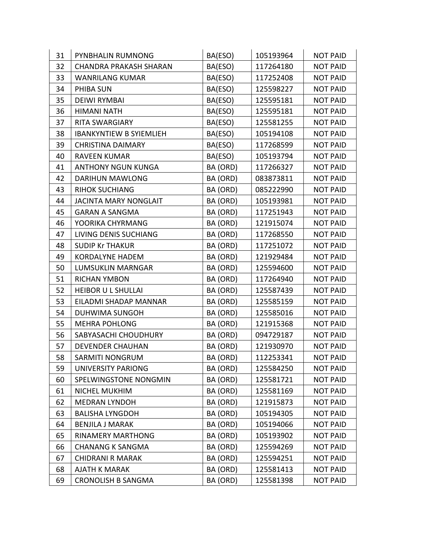| 31 | PYNBHALIN RUMNONG              | BA(ESO)  | 105193964 | <b>NOT PAID</b> |
|----|--------------------------------|----------|-----------|-----------------|
| 32 | <b>CHANDRA PRAKASH SHARAN</b>  | BA(ESO)  | 117264180 | <b>NOT PAID</b> |
| 33 | <b>WANRILANG KUMAR</b>         | BA(ESO)  | 117252408 | <b>NOT PAID</b> |
| 34 | PHIBA SUN                      | BA(ESO)  | 125598227 | <b>NOT PAID</b> |
| 35 | <b>DEIWI RYMBAI</b>            | BA(ESO)  | 125595181 | <b>NOT PAID</b> |
| 36 | <b>HIMANI NATH</b>             | BA(ESO)  | 125595181 | <b>NOT PAID</b> |
| 37 | <b>RITA SWARGIARY</b>          | BA(ESO)  | 125581255 | <b>NOT PAID</b> |
| 38 | <b>IBANKYNTIEW B SYIEMLIEH</b> | BA(ESO)  | 105194108 | <b>NOT PAID</b> |
| 39 | <b>CHRISTINA DAIMARY</b>       | BA(ESO)  | 117268599 | <b>NOT PAID</b> |
| 40 | <b>RAVEEN KUMAR</b>            | BA(ESO)  | 105193794 | <b>NOT PAID</b> |
| 41 | <b>ANTHONY NGUN KUNGA</b>      | BA (ORD) | 117266327 | <b>NOT PAID</b> |
| 42 | <b>DARIHUN MAWLONG</b>         | BA (ORD) | 083873811 | <b>NOT PAID</b> |
| 43 | <b>RIHOK SUCHIANG</b>          | BA (ORD) | 085222990 | <b>NOT PAID</b> |
| 44 | <b>JACINTA MARY NONGLAIT</b>   | BA (ORD) | 105193981 | <b>NOT PAID</b> |
| 45 | <b>GARAN A SANGMA</b>          | BA (ORD) | 117251943 | <b>NOT PAID</b> |
| 46 | YOORIKA CHYRMANG               | BA (ORD) | 121915074 | <b>NOT PAID</b> |
| 47 | LIVING DENIS SUCHIANG          | BA (ORD) | 117268550 | <b>NOT PAID</b> |
| 48 | <b>SUDIP Kr THAKUR</b>         | BA (ORD) | 117251072 | <b>NOT PAID</b> |
| 49 | <b>KORDALYNE HADEM</b>         | BA (ORD) | 121929484 | <b>NOT PAID</b> |
| 50 | <b>LUMSUKLIN MARNGAR</b>       | BA (ORD) | 125594600 | <b>NOT PAID</b> |
| 51 | <b>RICHAN YMBON</b>            | BA (ORD) | 117264940 | <b>NOT PAID</b> |
| 52 | <b>HEIBOR U L SHULLAI</b>      | BA (ORD) | 125587439 | <b>NOT PAID</b> |
| 53 | EILADMI SHADAP MANNAR          | BA (ORD) | 125585159 | <b>NOT PAID</b> |
| 54 | <b>DUHWIMA SUNGOH</b>          | BA (ORD) | 125585016 | <b>NOT PAID</b> |
| 55 | <b>MEHRA POHLONG</b>           | BA (ORD) | 121915368 | <b>NOT PAID</b> |
| 56 | SABYASACHI CHOUDHURY           | BA (ORD) | 094729187 | <b>NOT PAID</b> |
| 57 | <b>DEVENDER CHAUHAN</b>        | BA (ORD) | 121930970 | <b>NOT PAID</b> |
| 58 | SARMITI NONGRUM                | BA (ORD) | 112253341 | <b>NOT PAID</b> |
| 59 | UNIVERSITY PARIONG             | BA (ORD) | 125584250 | <b>NOT PAID</b> |
| 60 | SPELWINGSTONE NONGMIN          | BA (ORD) | 125581721 | <b>NOT PAID</b> |
| 61 | NICHEL MUKHIM                  | BA (ORD) | 125581169 | <b>NOT PAID</b> |
| 62 | <b>MEDRAN LYNDOH</b>           | BA (ORD) | 121915873 | <b>NOT PAID</b> |
| 63 | <b>BALISHA LYNGDOH</b>         | BA (ORD) | 105194305 | <b>NOT PAID</b> |
| 64 | <b>BENJILA J MARAK</b>         | BA (ORD) | 105194066 | <b>NOT PAID</b> |
| 65 | <b>RINAMERY MARTHONG</b>       | BA (ORD) | 105193902 | <b>NOT PAID</b> |
| 66 | <b>CHANANG K SANGMA</b>        | BA (ORD) | 125594269 | <b>NOT PAID</b> |
| 67 | <b>CHIDRANI R MARAK</b>        | BA (ORD) | 125594251 | <b>NOT PAID</b> |
| 68 | <b>AJATH K MARAK</b>           | BA (ORD) | 125581413 | <b>NOT PAID</b> |
| 69 | <b>CRONOLISH B SANGMA</b>      | BA (ORD) | 125581398 | <b>NOT PAID</b> |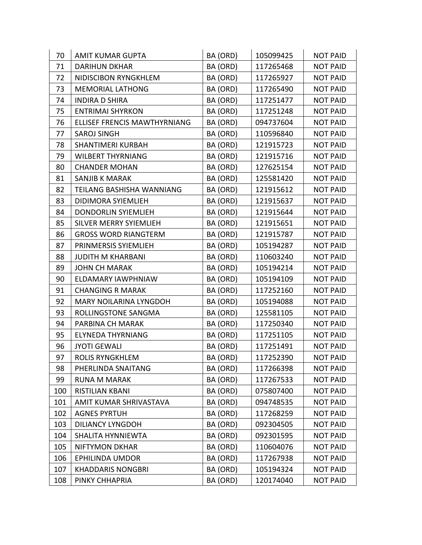| 70  | <b>AMIT KUMAR GUPTA</b>       | BA (ORD) | 105099425 | <b>NOT PAID</b> |
|-----|-------------------------------|----------|-----------|-----------------|
| 71  | <b>DARIHUN DKHAR</b>          | BA (ORD) | 117265468 | <b>NOT PAID</b> |
| 72  | NIDISCIBON RYNGKHLEM          | BA (ORD) | 117265927 | <b>NOT PAID</b> |
| 73  | <b>MEMORIAL LATHONG</b>       | BA (ORD) | 117265490 | <b>NOT PAID</b> |
| 74  | <b>INDIRA D SHIRA</b>         | BA (ORD) | 117251477 | <b>NOT PAID</b> |
| 75  | <b>ENTRIMAI SHYRKON</b>       | BA (ORD) | 117251248 | <b>NOT PAID</b> |
| 76  | ELLISEF FRENCIS MAWTHYRNIANG  | BA (ORD) | 094737604 | <b>NOT PAID</b> |
| 77  | <b>SAROJ SINGH</b>            | BA (ORD) | 110596840 | <b>NOT PAID</b> |
| 78  | <b>SHANTIMERI KURBAH</b>      | BA (ORD) | 121915723 | <b>NOT PAID</b> |
| 79  | <b>WILBERT THYRNIANG</b>      | BA (ORD) | 121915716 | <b>NOT PAID</b> |
| 80  | <b>CHANDER MOHAN</b>          | BA (ORD) | 127625154 | <b>NOT PAID</b> |
| 81  | <b>SANJIB K MARAK</b>         | BA (ORD) | 125581420 | <b>NOT PAID</b> |
| 82  | TEILANG BASHISHA WANNIANG     | BA (ORD) | 121915612 | <b>NOT PAID</b> |
| 83  | DIDIMORA SYIEMLIEH            | BA (ORD) | 121915637 | <b>NOT PAID</b> |
| 84  | <b>DONDORLIN SYIEMLIEH</b>    | BA (ORD) | 121915644 | <b>NOT PAID</b> |
| 85  | <b>SILVER MERRY SYIEMLIEH</b> | BA (ORD) | 121915651 | <b>NOT PAID</b> |
| 86  | <b>GROSS WORD RIANGTERM</b>   | BA (ORD) | 121915787 | <b>NOT PAID</b> |
| 87  | PRINMERSIS SYIEMLIEH          | BA (ORD) | 105194287 | <b>NOT PAID</b> |
| 88  | <b>JUDITH M KHARBANI</b>      | BA (ORD) | 110603240 | <b>NOT PAID</b> |
| 89  | <b>JOHN CH MARAK</b>          | BA (ORD) | 105194214 | <b>NOT PAID</b> |
| 90  | ELDAMARY IAWPHNIAW            | BA (ORD) | 105194109 | <b>NOT PAID</b> |
| 91  | <b>CHANGING R MARAK</b>       | BA (ORD) | 117252160 | <b>NOT PAID</b> |
| 92  | <b>MARY NOILARINA LYNGDOH</b> | BA (ORD) | 105194088 | <b>NOT PAID</b> |
| 93  | ROLLINGSTONE SANGMA           | BA (ORD) | 125581105 | <b>NOT PAID</b> |
| 94  | PARBINA CH MARAK              | BA (ORD) | 117250340 | <b>NOT PAID</b> |
| 95  | <b>ELYNEDA THYRNIANG</b>      | BA (ORD) | 117251105 | <b>NOT PAID</b> |
| 96  | <b>JYOTI GEWALI</b>           | BA (ORD) | 117251491 | <b>NOT PAID</b> |
| 97  | ROLIS RYNGKHLEM               | BA (ORD) | 117252390 | <b>NOT PAID</b> |
| 98  | PHERLINDA SNAITANG            | BA (ORD) | 117266398 | <b>NOT PAID</b> |
| 99  | <b>RUNA M MARAK</b>           | BA (ORD) | 117267533 | <b>NOT PAID</b> |
| 100 | RISTILIAN KBANI               | BA (ORD) | 075807400 | <b>NOT PAID</b> |
| 101 | AMIT KUMAR SHRIVASTAVA        | BA (ORD) | 094748535 | <b>NOT PAID</b> |
| 102 | <b>AGNES PYRTUH</b>           | BA (ORD) | 117268259 | <b>NOT PAID</b> |
| 103 | <b>DILIANCY LYNGDOH</b>       | BA (ORD) | 092304505 | <b>NOT PAID</b> |
| 104 | SHALITA HYNNIEWTA             | BA (ORD) | 092301595 | <b>NOT PAID</b> |
| 105 | <b>NIFTYMON DKHAR</b>         | BA (ORD) | 110604076 | <b>NOT PAID</b> |
| 106 | EPHILINDA UMDOR               | BA (ORD) | 117267938 | <b>NOT PAID</b> |
| 107 | <b>KHADDARIS NONGBRI</b>      | BA (ORD) | 105194324 | <b>NOT PAID</b> |
| 108 | PINKY CHHAPRIA                | BA (ORD) | 120174040 | <b>NOT PAID</b> |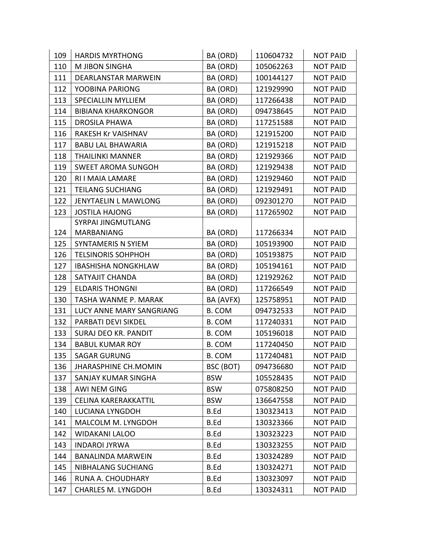| 109 | <b>HARDIS MYRTHONG</b>      | BA (ORD)    | 110604732 | <b>NOT PAID</b> |
|-----|-----------------------------|-------------|-----------|-----------------|
| 110 | M JIBON SINGHA              | BA (ORD)    | 105062263 | <b>NOT PAID</b> |
| 111 | DEARLANSTAR MARWEIN         | BA (ORD)    | 100144127 | <b>NOT PAID</b> |
| 112 | YOOBINA PARIONG             | BA (ORD)    | 121929990 | <b>NOT PAID</b> |
| 113 | <b>SPECIALLIN MYLLIEM</b>   | BA (ORD)    | 117266438 | <b>NOT PAID</b> |
| 114 | <b>BIBIANA KHARKONGOR</b>   | BA (ORD)    | 094738645 | <b>NOT PAID</b> |
| 115 | <b>DROSILA PHAWA</b>        | BA (ORD)    | 117251588 | <b>NOT PAID</b> |
| 116 | <b>RAKESH Kr VAISHNAV</b>   | BA (ORD)    | 121915200 | <b>NOT PAID</b> |
| 117 | <b>BABU LAL BHAWARIA</b>    | BA (ORD)    | 121915218 | <b>NOT PAID</b> |
| 118 | <b>THAILINKI MANNER</b>     | BA (ORD)    | 121929366 | <b>NOT PAID</b> |
| 119 | <b>SWEET AROMA SUNGOH</b>   | BA (ORD)    | 121929438 | <b>NOT PAID</b> |
| 120 | RI I MAIA LAMARE            | BA (ORD)    | 121929460 | <b>NOT PAID</b> |
| 121 | <b>TEILANG SUCHIANG</b>     | BA (ORD)    | 121929491 | <b>NOT PAID</b> |
| 122 | JENYTAELIN L MAWLONG        | BA (ORD)    | 092301270 | <b>NOT PAID</b> |
| 123 | <b>JOSTILA HAJONG</b>       | BA (ORD)    | 117265902 | <b>NOT PAID</b> |
|     | <b>SYRPAI JINGMUTLANG</b>   |             |           |                 |
| 124 | MARBANIANG                  | BA (ORD)    | 117266334 | <b>NOT PAID</b> |
| 125 | <b>SYNTAMERIS N SYIEM</b>   | BA (ORD)    | 105193900 | <b>NOT PAID</b> |
| 126 | <b>TELSINORIS SOHPHOH</b>   | BA (ORD)    | 105193875 | <b>NOT PAID</b> |
| 127 | <b>IBASHISHA NONGKHLAW</b>  | BA (ORD)    | 105194161 | <b>NOT PAID</b> |
| 128 | SATYAJIT CHANDA             | BA (ORD)    | 121929262 | <b>NOT PAID</b> |
| 129 | <b>ELDARIS THONGNI</b>      | BA (ORD)    | 117266549 | <b>NOT PAID</b> |
| 130 | TASHA WANME P. MARAK        | BA (AVFX)   | 125758951 | <b>NOT PAID</b> |
| 131 | LUCY ANNE MARY SANGRIANG    | B. COM      | 094732533 | <b>NOT PAID</b> |
| 132 | PARBATI DEVI SIKDEL         | B. COM      | 117240331 | <b>NOT PAID</b> |
| 133 | <b>SURAJ DEO KR. PANDIT</b> | B. COM      | 105196018 | <b>NOT PAID</b> |
| 134 | <b>BABUL KUMAR ROY</b>      | B. COM      | 117240450 | <b>NOT PAID</b> |
| 135 | <b>SAGAR GURUNG</b>         | B. COM      | 117240481 | <b>NOT PAID</b> |
| 136 | <b>JHARASPHINE CH.MOMIN</b> | BSC (BOT)   | 094736680 | <b>NOT PAID</b> |
| 137 | SANJAY KUMAR SINGHA         | <b>BSW</b>  | 105528435 | <b>NOT PAID</b> |
| 138 | AWI NEM GING                | <b>BSW</b>  | 075808250 | <b>NOT PAID</b> |
| 139 | CELINA KARERAKKATTIL        | <b>BSW</b>  | 136647558 | <b>NOT PAID</b> |
| 140 | LUCIANA LYNGDOH             | B.Ed        | 130323413 | <b>NOT PAID</b> |
| 141 | MALCOLM M. LYNGDOH          | B.Ed        | 130323366 | <b>NOT PAID</b> |
| 142 | <b>WIDAKANI LALOO</b>       | B.Ed        | 130323223 | <b>NOT PAID</b> |
| 143 | <b>INDAROI JYRWA</b>        | B.Ed        | 130323255 | <b>NOT PAID</b> |
| 144 | <b>BANALINDA MARWEIN</b>    | B.Ed        | 130324289 | <b>NOT PAID</b> |
| 145 | NIBHALANG SUCHIANG          | B.Ed        | 130324271 | <b>NOT PAID</b> |
| 146 | RUNA A. CHOUDHARY           | B.Ed        | 130323097 | <b>NOT PAID</b> |
| 147 | <b>CHARLES M. LYNGDOH</b>   | <b>B.Ed</b> | 130324311 | <b>NOT PAID</b> |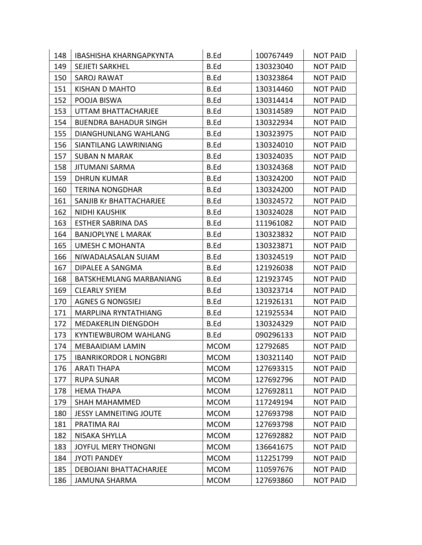| 148 | <b>IBASHISHA KHARNGAPKYNTA</b> | B.Ed        | 100767449 | <b>NOT PAID</b> |
|-----|--------------------------------|-------------|-----------|-----------------|
| 149 | SEJIETI SARKHEL                | <b>B.Ed</b> | 130323040 | <b>NOT PAID</b> |
| 150 | <b>SAROJ RAWAT</b>             | B.Ed        | 130323864 | <b>NOT PAID</b> |
| 151 | <b>KISHAN D MAHTO</b>          | B.Ed        | 130314460 | <b>NOT PAID</b> |
| 152 | POOJA BISWA                    | B.Ed        | 130314414 | <b>NOT PAID</b> |
| 153 | UTTAM BHATTACHARJEE            | B.Ed        | 130314589 | <b>NOT PAID</b> |
| 154 | <b>BIJENDRA BAHADUR SINGH</b>  | <b>B.Ed</b> | 130322934 | <b>NOT PAID</b> |
| 155 | <b>DIANGHUNLANG WAHLANG</b>    | B.Ed        | 130323975 | <b>NOT PAID</b> |
| 156 | <b>SIANTILANG LAWRINIANG</b>   | B.Ed        | 130324010 | <b>NOT PAID</b> |
| 157 | <b>SUBAN N MARAK</b>           | <b>B.Ed</b> | 130324035 | <b>NOT PAID</b> |
| 158 | <b>JITUMANI SARMA</b>          | B.Ed        | 130324368 | <b>NOT PAID</b> |
| 159 | <b>DHRUN KUMAR</b>             | <b>B.Ed</b> | 130324200 | <b>NOT PAID</b> |
| 160 | <b>TERINA NONGDHAR</b>         | <b>B.Ed</b> | 130324200 | <b>NOT PAID</b> |
| 161 | SANJIB Kr BHATTACHARJEE        | <b>B.Ed</b> | 130324572 | <b>NOT PAID</b> |
| 162 | <b>NIDHI KAUSHIK</b>           | <b>B.Ed</b> | 130324028 | <b>NOT PAID</b> |
| 163 | <b>ESTHER SABRINA DAS</b>      | <b>B.Ed</b> | 111961082 | <b>NOT PAID</b> |
| 164 | <b>BANJOPLYNE L MARAK</b>      | <b>B.Ed</b> | 130323832 | <b>NOT PAID</b> |
| 165 | <b>UMESH C MOHANTA</b>         | B.Ed        | 130323871 | <b>NOT PAID</b> |
| 166 | NIWADALASALAN SUIAM            | <b>B.Ed</b> | 130324519 | <b>NOT PAID</b> |
| 167 | DIPALEE A SANGMA               | <b>B.Ed</b> | 121926038 | <b>NOT PAID</b> |
| 168 | BATSKHEMLANG MARBANIANG        | B.Ed        | 121923745 | <b>NOT PAID</b> |
| 169 | <b>CLEARLY SYIEM</b>           | B.Ed        | 130323714 | <b>NOT PAID</b> |
| 170 | <b>AGNES G NONGSIEJ</b>        | <b>B.Ed</b> | 121926131 | <b>NOT PAID</b> |
| 171 | MARPLINA RYNTATHIANG           | <b>B.Ed</b> | 121925534 | <b>NOT PAID</b> |
| 172 | <b>MEDAKERLIN DIENGDOH</b>     | B.Ed        | 130324329 | <b>NOT PAID</b> |
| 173 | <b>KYNTIEWBUROM WAHLANG</b>    | <b>B.Ed</b> | 090296133 | <b>NOT PAID</b> |
| 174 | <b>MEBAAIDIAM LAMIN</b>        | <b>MCOM</b> | 12792685  | <b>NOT PAID</b> |
| 175 | <b>IBANRIKORDOR L NONGBRI</b>  | <b>MCOM</b> | 130321140 | <b>NOT PAID</b> |
| 176 | <b>ARATI THAPA</b>             | <b>MCOM</b> | 127693315 | <b>NOT PAID</b> |
| 177 | <b>RUPA SUNAR</b>              | <b>MCOM</b> | 127692796 | <b>NOT PAID</b> |
| 178 | <b>HEMA THAPA</b>              | <b>MCOM</b> | 127692811 | <b>NOT PAID</b> |
| 179 | <b>SHAH MAHAMMED</b>           | <b>MCOM</b> | 117249194 | <b>NOT PAID</b> |
| 180 | <b>JESSY LAMNEITING JOUTE</b>  | <b>MCOM</b> | 127693798 | <b>NOT PAID</b> |
| 181 | PRATIMA RAI                    | <b>MCOM</b> | 127693798 | <b>NOT PAID</b> |
| 182 | NISAKA SHYLLA                  | <b>MCOM</b> | 127692882 | <b>NOT PAID</b> |
| 183 | <b>JOYFUL MERY THONGNI</b>     | <b>MCOM</b> | 136641675 | <b>NOT PAID</b> |
| 184 | <b>JYOTI PANDEY</b>            | <b>MCOM</b> | 112251799 | <b>NOT PAID</b> |
| 185 | DEBOJANI BHATTACHARJEE         | <b>MCOM</b> | 110597676 | <b>NOT PAID</b> |
| 186 | <b>JAMUNA SHARMA</b>           | <b>MCOM</b> | 127693860 | <b>NOT PAID</b> |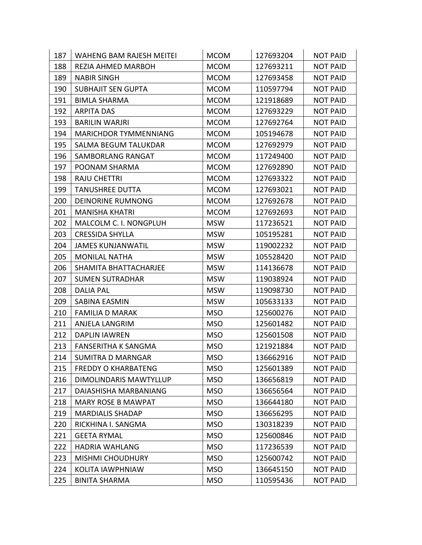| 187 | <b>WAHENG BAM RAJESH MEITEI</b> | <b>MCOM</b> | 127693204 | <b>NOT PAID</b> |
|-----|---------------------------------|-------------|-----------|-----------------|
| 188 | REZIA AHMED MARBOH              | <b>MCOM</b> | 127693211 | <b>NOT PAID</b> |
| 189 | <b>NABIR SINGH</b>              | <b>MCOM</b> | 127693458 | <b>NOT PAID</b> |
| 190 | <b>SUBHAJIT SEN GUPTA</b>       | <b>MCOM</b> | 110597794 | <b>NOT PAID</b> |
| 191 | <b>BIMLA SHARMA</b>             | <b>MCOM</b> | 121918689 | <b>NOT PAID</b> |
| 192 | <b>ARPITA DAS</b>               | <b>MCOM</b> | 127693229 | <b>NOT PAID</b> |
| 193 | <b>BARILIN WARJRI</b>           | <b>MCOM</b> | 127692764 | <b>NOT PAID</b> |
| 194 | <b>MARICHDOR TYMMENNIANG</b>    | <b>MCOM</b> | 105194678 | <b>NOT PAID</b> |
| 195 | <b>SALMA BEGUM TALUKDAR</b>     | <b>MCOM</b> | 127692979 | <b>NOT PAID</b> |
| 196 | SAMBORLANG RANGAT               | <b>MCOM</b> | 117249400 | <b>NOT PAID</b> |
| 197 | POONAM SHARMA                   | <b>MCOM</b> | 127692890 | <b>NOT PAID</b> |
| 198 | <b>RAJU CHETTRI</b>             | <b>MCOM</b> | 127693322 | <b>NOT PAID</b> |
| 199 | <b>TANUSHREE DUTTA</b>          | <b>MCOM</b> | 127693021 | <b>NOT PAID</b> |
| 200 | <b>DEINORINE RUMNONG</b>        | <b>MCOM</b> | 127692678 | <b>NOT PAID</b> |
| 201 | <b>MANISHA KHATRI</b>           | <b>MCOM</b> | 127692693 | <b>NOT PAID</b> |
| 202 | MALCOLM C. I. NONGPLUH          | <b>MSW</b>  | 117236521 | <b>NOT PAID</b> |
| 203 | <b>CRESSIDA SHYLLA</b>          | <b>MSW</b>  | 105195281 | <b>NOT PAID</b> |
| 204 | <b>JAMES KUNJANWATIL</b>        | <b>MSW</b>  | 119002232 | <b>NOT PAID</b> |
| 205 | <b>MONILAL NATHA</b>            | <b>MSW</b>  | 105528420 | <b>NOT PAID</b> |
| 206 | SHAMITA BHATTACHARJEE           | <b>MSW</b>  | 114136678 | <b>NOT PAID</b> |
| 207 | <b>SUMEN SUTRADHAR</b>          | <b>MSW</b>  | 119038924 | <b>NOT PAID</b> |
| 208 | <b>DALIA PAL</b>                | <b>MSW</b>  | 119098730 | <b>NOT PAID</b> |
| 209 | SABINA EASMIN                   | <b>MSW</b>  | 105633133 | <b>NOT PAID</b> |
| 210 | <b>FAMILIA D MARAK</b>          | <b>MSO</b>  | 125600276 | <b>NOT PAID</b> |
| 211 | <b>ANJELA LANGRIM</b>           | <b>MSO</b>  | 125601482 | <b>NOT PAID</b> |
| 212 | <b>DAPLIN IAWREN</b>            | <b>MSO</b>  | 125601508 | <b>NOT PAID</b> |
| 213 | <b>FANSERITHA K SANGMA</b>      | <b>MSO</b>  | 121921884 | <b>NOT PAID</b> |
| 214 | <b>SUMITRA D MARNGAR</b>        | <b>MSO</b>  | 136662916 | <b>NOT PAID</b> |
| 215 | <b>FREDDY O KHARBATENG</b>      | <b>MSO</b>  | 125601389 | <b>NOT PAID</b> |
| 216 | DIMOLINDARIS MAWTYLLUP          | <b>MSO</b>  | 136656819 | <b>NOT PAID</b> |
| 217 | DAIASHISHA MARBANIANG           | <b>MSO</b>  | 136656564 | <b>NOT PAID</b> |
| 218 | <b>MARY ROSE B MAWPAT</b>       | <b>MSO</b>  | 136644180 | <b>NOT PAID</b> |
| 219 | <b>MARDIALIS SHADAP</b>         | <b>MSO</b>  | 136656295 | <b>NOT PAID</b> |
| 220 | RICKHINA I. SANGMA              | <b>MSO</b>  | 130318239 | <b>NOT PAID</b> |
| 221 | <b>GEETA RYMAL</b>              | <b>MSO</b>  | 125600846 | <b>NOT PAID</b> |
| 222 | <b>HADRIA WAHLANG</b>           | <b>MSO</b>  | 117236539 | <b>NOT PAID</b> |
| 223 | <b>MISHMI CHOUDHURY</b>         | <b>MSO</b>  | 125600742 | <b>NOT PAID</b> |
| 224 | KOLITA IAWPHNIAW                | <b>MSO</b>  | 136645150 | <b>NOT PAID</b> |
| 225 | <b>BINITA SHARMA</b>            | <b>MSO</b>  | 110595436 | <b>NOT PAID</b> |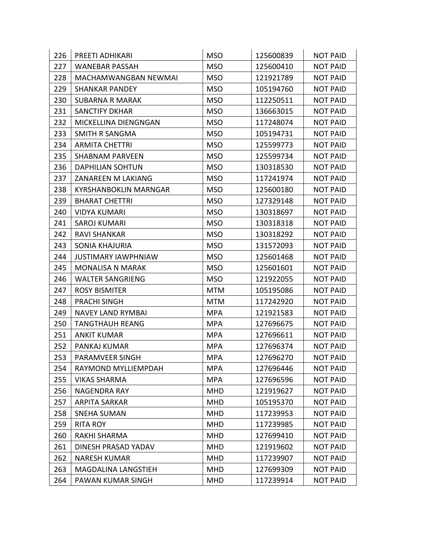| 226 | PREETI ADHIKARI              | <b>MSO</b> | 125600839 | <b>NOT PAID</b> |
|-----|------------------------------|------------|-----------|-----------------|
| 227 | <b>WANEBAR PASSAH</b>        | <b>MSO</b> | 125600410 | <b>NOT PAID</b> |
| 228 | MACHAMWANGBAN NEWMAI         | <b>MSO</b> | 121921789 | <b>NOT PAID</b> |
| 229 | <b>SHANKAR PANDEY</b>        | <b>MSO</b> | 105194760 | <b>NOT PAID</b> |
| 230 | <b>SUBARNA R MARAK</b>       | <b>MSO</b> | 112250511 | <b>NOT PAID</b> |
| 231 | <b>SANCTIFY DKHAR</b>        | <b>MSO</b> | 136663015 | <b>NOT PAID</b> |
| 232 | MICKELLINA DIENGNGAN         | <b>MSO</b> | 117248074 | <b>NOT PAID</b> |
| 233 | <b>SMITH R SANGMA</b>        | <b>MSO</b> | 105194731 | <b>NOT PAID</b> |
| 234 | <b>ARMITA CHETTRI</b>        | <b>MSO</b> | 125599773 | <b>NOT PAID</b> |
| 235 | <b>SHABNAM PARVEEN</b>       | <b>MSO</b> | 125599734 | <b>NOT PAID</b> |
| 236 | <b>DAPHILIAN SOHTUN</b>      | <b>MSO</b> | 130318530 | <b>NOT PAID</b> |
| 237 | ZANAREEN M LAKIANG           | <b>MSO</b> | 117241974 | <b>NOT PAID</b> |
| 238 | <b>KYRSHANBOKLIN MARNGAR</b> | <b>MSO</b> | 125600180 | <b>NOT PAID</b> |
| 239 | <b>BHARAT CHETTRI</b>        | <b>MSO</b> | 127329148 | <b>NOT PAID</b> |
| 240 | <b>VIDYA KUMARI</b>          | <b>MSO</b> | 130318697 | <b>NOT PAID</b> |
| 241 | <b>SAROJ KUMARI</b>          | <b>MSO</b> | 130318318 | <b>NOT PAID</b> |
| 242 | <b>RAVI SHANKAR</b>          | <b>MSO</b> | 130318292 | <b>NOT PAID</b> |
| 243 | <b>SONIA KHAJURIA</b>        | <b>MSO</b> | 131572093 | <b>NOT PAID</b> |
| 244 | <b>JUSTIMARY IAWPHNIAW</b>   | <b>MSO</b> | 125601468 | <b>NOT PAID</b> |
| 245 | <b>MONALISA N MARAK</b>      | <b>MSO</b> | 125601601 | <b>NOT PAID</b> |
| 246 | <b>WALTER SANGRIENG</b>      | <b>MSO</b> | 121922055 | <b>NOT PAID</b> |
| 247 | <b>ROSY BISMITER</b>         | <b>MTM</b> | 105195086 | <b>NOT PAID</b> |
| 248 | <b>PRACHI SINGH</b>          | <b>MTM</b> | 117242920 | <b>NOT PAID</b> |
| 249 | <b>NAVEY LAND RYMBAI</b>     | <b>MPA</b> | 121921583 | <b>NOT PAID</b> |
| 250 | <b>TANGTHAUH REANG</b>       | <b>MPA</b> | 127696675 | <b>NOT PAID</b> |
| 251 | <b>ANKIT KUMAR</b>           | <b>MPA</b> | 127696611 | <b>NOT PAID</b> |
| 252 | PANKAJ KUMAR                 | <b>MPA</b> | 127696374 | <b>NOT PAID</b> |
| 253 | PARAMVEER SINGH              | MPA        | 127696270 | <b>NOT PAID</b> |
| 254 | RAYMOND MYLLIEMPDAH          | <b>MPA</b> | 127696446 | <b>NOT PAID</b> |
| 255 | <b>VIKAS SHARMA</b>          | <b>MPA</b> | 127696596 | <b>NOT PAID</b> |
| 256 | <b>NAGENDRA RAY</b>          | <b>MHD</b> | 121919627 | <b>NOT PAID</b> |
| 257 | <b>ARPITA SARKAR</b>         | <b>MHD</b> | 105195370 | <b>NOT PAID</b> |
| 258 | SNEHA SUMAN                  | <b>MHD</b> | 117239953 | <b>NOT PAID</b> |
| 259 | <b>RITA ROY</b>              | <b>MHD</b> | 117239985 | <b>NOT PAID</b> |
| 260 | RAKHI SHARMA                 | <b>MHD</b> | 127699410 | <b>NOT PAID</b> |
| 261 | DINESH PRASAD YADAV          | <b>MHD</b> | 121919602 | <b>NOT PAID</b> |
| 262 | <b>NARESH KUMAR</b>          | <b>MHD</b> | 117239907 | <b>NOT PAID</b> |
| 263 | MAGDALINA LANGSTIEH          | <b>MHD</b> | 127699309 | <b>NOT PAID</b> |
| 264 | PAWAN KUMAR SINGH            | <b>MHD</b> | 117239914 | <b>NOT PAID</b> |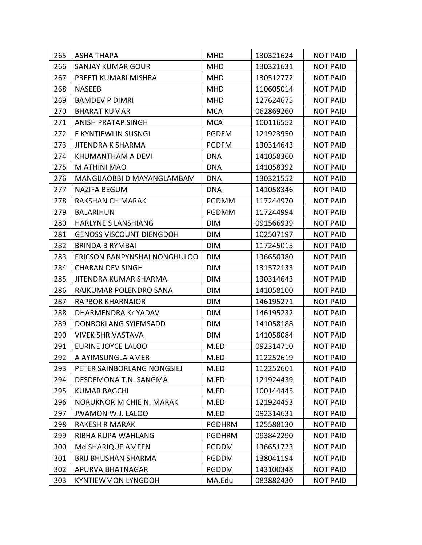| 265 | <b>ASHA THAPA</b>               | <b>MHD</b>    | 130321624 | <b>NOT PAID</b> |
|-----|---------------------------------|---------------|-----------|-----------------|
| 266 | <b>SANJAY KUMAR GOUR</b>        | <b>MHD</b>    | 130321631 | <b>NOT PAID</b> |
| 267 | PREETI KUMARI MISHRA            | <b>MHD</b>    | 130512772 | <b>NOT PAID</b> |
| 268 | <b>NASEEB</b>                   | <b>MHD</b>    | 110605014 | <b>NOT PAID</b> |
| 269 | <b>BAMDEV P DIMRI</b>           | <b>MHD</b>    | 127624675 | <b>NOT PAID</b> |
| 270 | <b>BHARAT KUMAR</b>             | <b>MCA</b>    | 062869260 | <b>NOT PAID</b> |
| 271 | ANISH PRATAP SINGH              | <b>MCA</b>    | 100116552 | <b>NOT PAID</b> |
| 272 | E KYNTIEWLIN SUSNGI             | <b>PGDFM</b>  | 121923950 | <b>NOT PAID</b> |
| 273 | <b>JITENDRA K SHARMA</b>        | <b>PGDFM</b>  | 130314643 | <b>NOT PAID</b> |
| 274 | KHUMANTHAM A DEVI               | <b>DNA</b>    | 141058360 | <b>NOT PAID</b> |
| 275 | M ATHINI MAO                    | <b>DNA</b>    | 141058392 | <b>NOT PAID</b> |
| 276 | MANGIJAOBBI D MAYANGLAMBAM      | <b>DNA</b>    | 130321552 | <b>NOT PAID</b> |
| 277 | <b>NAZIFA BEGUM</b>             | <b>DNA</b>    | 141058346 | <b>NOT PAID</b> |
| 278 | <b>RAKSHAN CH MARAK</b>         | <b>PGDMM</b>  | 117244970 | <b>NOT PAID</b> |
| 279 | <b>BALARIHUN</b>                | <b>PGDMM</b>  | 117244994 | <b>NOT PAID</b> |
| 280 | <b>HARLYNE S LANSHIANG</b>      | <b>DIM</b>    | 091566939 | <b>NOT PAID</b> |
| 281 | <b>GENOSS VISCOUNT DIENGDOH</b> | <b>DIM</b>    | 102507197 | <b>NOT PAID</b> |
| 282 | <b>BRINDA B RYMBAI</b>          | <b>DIM</b>    | 117245015 | <b>NOT PAID</b> |
| 283 | ERICSON BANPYNSHAI NONGHULOO    | <b>DIM</b>    | 136650380 | <b>NOT PAID</b> |
| 284 | <b>CHARAN DEV SINGH</b>         | <b>DIM</b>    | 131572133 | <b>NOT PAID</b> |
| 285 | JITENDRA KUMAR SHARMA           | <b>DIM</b>    | 130314643 | <b>NOT PAID</b> |
| 286 | RAJKUMAR POLENDRO SANA          | <b>DIM</b>    | 141058100 | <b>NOT PAID</b> |
| 287 | RAPBOR KHARNAIOR                | <b>DIM</b>    | 146195271 | <b>NOT PAID</b> |
| 288 | DHARMENDRA Kr YADAV             | <b>DIM</b>    | 146195232 | <b>NOT PAID</b> |
| 289 | DONBOKLANG SYIEMSADD            | <b>DIM</b>    | 141058188 | <b>NOT PAID</b> |
| 290 | <b>VIVEK SHRIVASTAVA</b>        | <b>DIM</b>    | 141058084 | <b>NOT PAID</b> |
| 291 | EURINE JOYCE LALOO              | M.ED          | 092314710 | <b>NOT PAID</b> |
| 292 | A AYIMSUNGLA AMER               | M.ED          | 112252619 | <b>NOT PAID</b> |
| 293 | PETER SAINBORLANG NONGSIEJ      | M.ED          | 112252601 | <b>NOT PAID</b> |
| 294 | DESDEMONA T.N. SANGMA           | M.ED          | 121924439 | <b>NOT PAID</b> |
| 295 | <b>KUMAR BAGCHI</b>             | M.ED          | 100144445 | <b>NOT PAID</b> |
| 296 | NORUKNORIM CHIE N. MARAK        | M.ED          | 121924453 | <b>NOT PAID</b> |
| 297 | <b>JWAMON W.J. LALOO</b>        | M.ED          | 092314631 | <b>NOT PAID</b> |
| 298 | <b>RAKESH R MARAK</b>           | <b>PGDHRM</b> | 125588130 | <b>NOT PAID</b> |
| 299 | RIBHA RUPA WAHLANG              | <b>PGDHRM</b> | 093842290 | <b>NOT PAID</b> |
| 300 | Md SHARIQUE AMEEN               | <b>PGDDM</b>  | 136651723 | <b>NOT PAID</b> |
| 301 | <b>BRIJ BHUSHAN SHARMA</b>      | <b>PGDDM</b>  | 138041194 | <b>NOT PAID</b> |
| 302 | APURVA BHATNAGAR                | <b>PGDDM</b>  | 143100348 | <b>NOT PAID</b> |
| 303 | <b>KYNTIEWMON LYNGDOH</b>       | MA.Edu        | 083882430 | <b>NOT PAID</b> |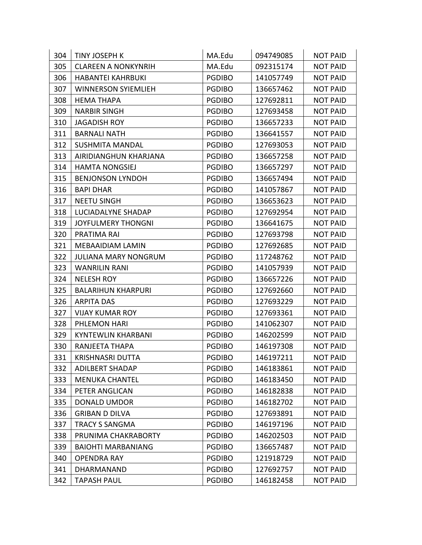| 304 | <b>TINY JOSEPH K</b>        | MA.Edu        | 094749085 | <b>NOT PAID</b> |
|-----|-----------------------------|---------------|-----------|-----------------|
| 305 | <b>CLAREEN A NONKYNRIH</b>  | MA.Edu        | 092315174 | <b>NOT PAID</b> |
| 306 | <b>HABANTEI KAHRBUKI</b>    | <b>PGDIBO</b> | 141057749 | <b>NOT PAID</b> |
| 307 | <b>WINNERSON SYIEMLIEH</b>  | <b>PGDIBO</b> | 136657462 | <b>NOT PAID</b> |
| 308 | <b>HEMA THAPA</b>           | <b>PGDIBO</b> | 127692811 | <b>NOT PAID</b> |
| 309 | <b>NARBIR SINGH</b>         | <b>PGDIBO</b> | 127693458 | <b>NOT PAID</b> |
| 310 | <b>JAGADISH ROY</b>         | <b>PGDIBO</b> | 136657233 | <b>NOT PAID</b> |
| 311 | <b>BARNALI NATH</b>         | <b>PGDIBO</b> | 136641557 | <b>NOT PAID</b> |
| 312 | <b>SUSHMITA MANDAL</b>      | <b>PGDIBO</b> | 127693053 | <b>NOT PAID</b> |
| 313 | AIRIDIANGHUN KHARJANA       | <b>PGDIBO</b> | 136657258 | <b>NOT PAID</b> |
| 314 | <b>HAMTA NONGSIEJ</b>       | <b>PGDIBO</b> | 136657297 | <b>NOT PAID</b> |
| 315 | <b>BENJONSON LYNDOH</b>     | <b>PGDIBO</b> | 136657494 | <b>NOT PAID</b> |
| 316 | <b>BAPI DHAR</b>            | <b>PGDIBO</b> | 141057867 | <b>NOT PAID</b> |
| 317 | <b>NEETU SINGH</b>          | <b>PGDIBO</b> | 136653623 | <b>NOT PAID</b> |
| 318 | LUCIADALYNE SHADAP          | <b>PGDIBO</b> | 127692954 | <b>NOT PAID</b> |
| 319 | <b>JOYFULMERY THONGNI</b>   | <b>PGDIBO</b> | 136641675 | <b>NOT PAID</b> |
| 320 | PRATIMA RAI                 | <b>PGDIBO</b> | 127693798 | <b>NOT PAID</b> |
| 321 | MEBAAIDIAM LAMIN            | <b>PGDIBO</b> | 127692685 | <b>NOT PAID</b> |
| 322 | <b>JULIANA MARY NONGRUM</b> | <b>PGDIBO</b> | 117248762 | <b>NOT PAID</b> |
| 323 | <b>WANRILIN RANI</b>        | <b>PGDIBO</b> | 141057939 | <b>NOT PAID</b> |
| 324 | <b>NELESH ROY</b>           | <b>PGDIBO</b> | 136657226 | <b>NOT PAID</b> |
| 325 | <b>BALARIHUN KHARPURI</b>   | <b>PGDIBO</b> | 127692660 | <b>NOT PAID</b> |
| 326 | <b>ARPITA DAS</b>           | <b>PGDIBO</b> | 127693229 | <b>NOT PAID</b> |
| 327 | <b>VIJAY KUMAR ROY</b>      | <b>PGDIBO</b> | 127693361 | <b>NOT PAID</b> |
| 328 | PHLEMON HARI                | <b>PGDIBO</b> | 141062307 | <b>NOT PAID</b> |
| 329 | <b>KYNTEWLIN KHARBANI</b>   | <b>PGDIBO</b> | 146202599 | <b>NOT PAID</b> |
| 330 | RANJEETA THAPA              | <b>PGDIBO</b> | 146197308 | <b>NOT PAID</b> |
| 331 | KRISHNASRI DUTTA            | <b>PGDIBO</b> | 146197211 | <b>NOT PAID</b> |
| 332 | <b>ADILBERT SHADAP</b>      | <b>PGDIBO</b> | 146183861 | <b>NOT PAID</b> |
| 333 | <b>MENUKA CHANTEL</b>       | <b>PGDIBO</b> | 146183450 | <b>NOT PAID</b> |
| 334 | PETER ANGLICAN              | <b>PGDIBO</b> | 146182838 | <b>NOT PAID</b> |
| 335 | <b>DONALD UMDOR</b>         | <b>PGDIBO</b> | 146182702 | <b>NOT PAID</b> |
| 336 | <b>GRIBAN D DILVA</b>       | <b>PGDIBO</b> | 127693891 | <b>NOT PAID</b> |
| 337 | <b>TRACY S SANGMA</b>       | <b>PGDIBO</b> | 146197196 | <b>NOT PAID</b> |
| 338 | PRUNIMA CHAKRABORTY         | <b>PGDIBO</b> | 146202503 | <b>NOT PAID</b> |
| 339 | <b>BAIOHTI MARBANIANG</b>   | <b>PGDIBO</b> | 136657487 | <b>NOT PAID</b> |
| 340 | <b>OPENDRA RAY</b>          | <b>PGDIBO</b> | 121918729 | <b>NOT PAID</b> |
| 341 | DHARMANAND                  | <b>PGDIBO</b> | 127692757 | <b>NOT PAID</b> |
| 342 | <b>TAPASH PAUL</b>          | <b>PGDIBO</b> | 146182458 | <b>NOT PAID</b> |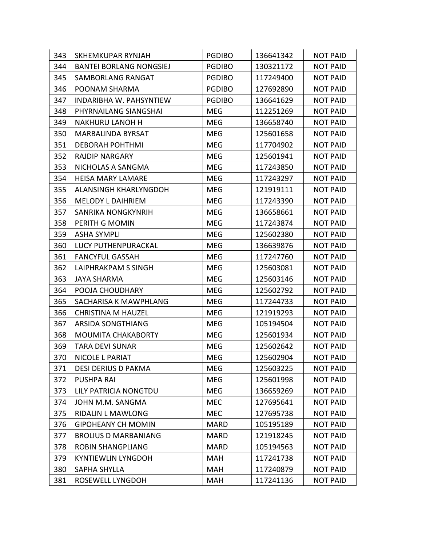| 343 | <b>SKHEMKUPAR RYNJAH</b>       | <b>PGDIBO</b> | 136641342 | <b>NOT PAID</b> |
|-----|--------------------------------|---------------|-----------|-----------------|
| 344 | <b>BANTEI BORLANG NONGSIEJ</b> | <b>PGDIBO</b> | 130321172 | <b>NOT PAID</b> |
| 345 | <b>SAMBORLANG RANGAT</b>       | <b>PGDIBO</b> | 117249400 | <b>NOT PAID</b> |
| 346 | POONAM SHARMA                  | <b>PGDIBO</b> | 127692890 | <b>NOT PAID</b> |
| 347 | <b>INDARIBHA W. PAHSYNTIEW</b> | <b>PGDIBO</b> | 136641629 | <b>NOT PAID</b> |
| 348 | PHYRNAILANG SIANGSHAI          | <b>MEG</b>    | 112251269 | <b>NOT PAID</b> |
| 349 | <b>NAKHURU LANOH H</b>         | <b>MEG</b>    | 136658740 | <b>NOT PAID</b> |
| 350 | MARBALINDA BYRSAT              | <b>MEG</b>    | 125601658 | <b>NOT PAID</b> |
| 351 | <b>DEBORAH POHTHMI</b>         | <b>MEG</b>    | 117704902 | <b>NOT PAID</b> |
| 352 | <b>RAJDIP NARGARY</b>          | <b>MEG</b>    | 125601941 | <b>NOT PAID</b> |
| 353 | NICHOLAS A SANGMA              | <b>MEG</b>    | 117243850 | <b>NOT PAID</b> |
| 354 | <b>HEISA MARY LAMARE</b>       | <b>MEG</b>    | 117243297 | <b>NOT PAID</b> |
| 355 | ALANSINGH KHARLYNGDOH          | <b>MEG</b>    | 121919111 | <b>NOT PAID</b> |
| 356 | <b>MELODY L DAIHRIEM</b>       | <b>MEG</b>    | 117243390 | <b>NOT PAID</b> |
| 357 | SANRIKA NONGKYNRIH             | <b>MEG</b>    | 136658661 | <b>NOT PAID</b> |
| 358 | PERITH G MOMIN                 | <b>MEG</b>    | 117243874 | <b>NOT PAID</b> |
| 359 | <b>ASHA SYMPLI</b>             | <b>MEG</b>    | 125602380 | <b>NOT PAID</b> |
| 360 | LUCY PUTHENPURACKAL            | <b>MEG</b>    | 136639876 | <b>NOT PAID</b> |
| 361 | <b>FANCYFUL GASSAH</b>         | <b>MEG</b>    | 117247760 | <b>NOT PAID</b> |
| 362 | LAIPHRAKPAM S SINGH            | <b>MEG</b>    | 125603081 | <b>NOT PAID</b> |
| 363 | <b>JAYA SHARMA</b>             | <b>MEG</b>    | 125603146 | <b>NOT PAID</b> |
| 364 | POOJA CHOUDHARY                | <b>MEG</b>    | 125602792 | <b>NOT PAID</b> |
| 365 | SACHARISA K MAWPHLANG          | <b>MEG</b>    | 117244733 | <b>NOT PAID</b> |
| 366 | <b>CHRISTINA M HAUZEL</b>      | <b>MEG</b>    | 121919293 | <b>NOT PAID</b> |
| 367 | ARSIDA SONGTHIANG              | <b>MEG</b>    | 105194504 | <b>NOT PAID</b> |
| 368 | <b>MOUMITA CHAKABORTY</b>      | <b>MEG</b>    | 125601934 | <b>NOT PAID</b> |
| 369 | <b>TARA DEVI SUNAR</b>         | <b>MEG</b>    | 125602642 | <b>NOT PAID</b> |
| 370 | NICOLE L PARIAT                | MEG           | 125602904 | <b>NOT PAID</b> |
| 371 | DESI DERIUS D PAKMA            | <b>MEG</b>    | 125603225 | <b>NOT PAID</b> |
| 372 | <b>PUSHPA RAI</b>              | <b>MEG</b>    | 125601998 | <b>NOT PAID</b> |
| 373 | LILY PATRICIA NONGTDU          | <b>MEG</b>    | 136659269 | <b>NOT PAID</b> |
| 374 | JOHN M.M. SANGMA               | <b>MEC</b>    | 127695641 | <b>NOT PAID</b> |
| 375 | <b>RIDALIN L MAWLONG</b>       | <b>MEC</b>    | 127695738 | <b>NOT PAID</b> |
| 376 | <b>GIPOHEANY CH MOMIN</b>      | <b>MARD</b>   | 105195189 | <b>NOT PAID</b> |
| 377 | <b>BROLIUS D MARBANIANG</b>    | <b>MARD</b>   | 121918245 | <b>NOT PAID</b> |
| 378 | <b>ROBIN SHANGPLIANG</b>       | <b>MARD</b>   | 105194563 | <b>NOT PAID</b> |
| 379 | <b>KYNTIEWLIN LYNGDOH</b>      | <b>MAH</b>    | 117241738 | <b>NOT PAID</b> |
| 380 | SAPHA SHYLLA                   | <b>MAH</b>    | 117240879 | <b>NOT PAID</b> |
| 381 | ROSEWELL LYNGDOH               | MAH           | 117241136 | <b>NOT PAID</b> |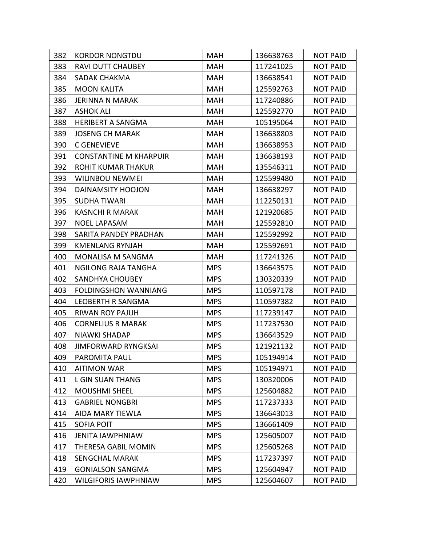| 382 | <b>KORDOR NONGTDU</b>         | MAH        | 136638763 | <b>NOT PAID</b> |
|-----|-------------------------------|------------|-----------|-----------------|
| 383 | <b>RAVI DUTT CHAUBEY</b>      | <b>MAH</b> | 117241025 | <b>NOT PAID</b> |
| 384 | SADAK CHAKMA                  | MAH        | 136638541 | <b>NOT PAID</b> |
| 385 | <b>MOON KALITA</b>            | <b>MAH</b> | 125592763 | <b>NOT PAID</b> |
| 386 | <b>JERINNA N MARAK</b>        | MAH        | 117240886 | <b>NOT PAID</b> |
| 387 | <b>ASHOK ALI</b>              | MAH        | 125592770 | <b>NOT PAID</b> |
| 388 | <b>HERIBERT A SANGMA</b>      | MAH        | 105195064 | <b>NOT PAID</b> |
| 389 | <b>JOSENG CH MARAK</b>        | <b>MAH</b> | 136638803 | <b>NOT PAID</b> |
| 390 | C GENEVIEVE                   | MAH        | 136638953 | <b>NOT PAID</b> |
| 391 | <b>CONSTANTINE M KHARPUIR</b> | MAH        | 136638193 | <b>NOT PAID</b> |
| 392 | <b>ROHIT KUMAR THAKUR</b>     | MAH        | 135546311 | <b>NOT PAID</b> |
| 393 | <b>WILINBOU NEWMEI</b>        | MAH        | 125599480 | <b>NOT PAID</b> |
| 394 | DAINAMSITY HOOJON             | MAH        | 136638297 | <b>NOT PAID</b> |
| 395 | <b>SUDHA TIWARI</b>           | MAH        | 112250131 | <b>NOT PAID</b> |
| 396 | <b>KASNCHI R MARAK</b>        | MAH        | 121920685 | <b>NOT PAID</b> |
| 397 | <b>NOEL LAPASAM</b>           | <b>MAH</b> | 125592810 | <b>NOT PAID</b> |
| 398 | SARITA PANDEY PRADHAN         | MAH        | 125592992 | <b>NOT PAID</b> |
| 399 | <b>KMENLANG RYNJAH</b>        | MAH        | 125592691 | <b>NOT PAID</b> |
| 400 | <b>MONALISA M SANGMA</b>      | <b>MAH</b> | 117241326 | <b>NOT PAID</b> |
| 401 | <b>NGILONG RAJA TANGHA</b>    | <b>MPS</b> | 136643575 | <b>NOT PAID</b> |
| 402 | <b>SANDHYA CHOUBEY</b>        | <b>MPS</b> | 130320339 | <b>NOT PAID</b> |
| 403 | <b>FOLDINGSHON WANNIANG</b>   | <b>MPS</b> | 110597178 | <b>NOT PAID</b> |
| 404 | LEOBERTH R SANGMA             | <b>MPS</b> | 110597382 | <b>NOT PAID</b> |
| 405 | <b>RIWAN ROY PAJUH</b>        | <b>MPS</b> | 117239147 | <b>NOT PAID</b> |
| 406 | <b>CORNELIUS R MARAK</b>      | <b>MPS</b> | 117237530 | <b>NOT PAID</b> |
| 407 | <b>NIAWKI SHADAP</b>          | <b>MPS</b> | 136643529 | <b>NOT PAID</b> |
| 408 | <b>JIMFORWARD RYNGKSAI</b>    | <b>MPS</b> | 121921132 | <b>NOT PAID</b> |
| 409 | PAROMITA PAUL                 | <b>MPS</b> | 105194914 | <b>NOT PAID</b> |
| 410 | <b>AITIMON WAR</b>            | <b>MPS</b> | 105194971 | <b>NOT PAID</b> |
| 411 | <b>L GIN SUAN THANG</b>       | <b>MPS</b> | 130320006 | <b>NOT PAID</b> |
| 412 | <b>MOUSHMI SHEEL</b>          | <b>MPS</b> | 125604882 | <b>NOT PAID</b> |
| 413 | <b>GABRIEL NONGBRI</b>        | <b>MPS</b> | 117237333 | <b>NOT PAID</b> |
| 414 | AIDA MARY TIEWLA              | <b>MPS</b> | 136643013 | <b>NOT PAID</b> |
| 415 | <b>SOFIA POIT</b>             | <b>MPS</b> | 136661409 | <b>NOT PAID</b> |
| 416 | <b>JENITA IAWPHNIAW</b>       | <b>MPS</b> | 125605007 | <b>NOT PAID</b> |
| 417 | THERESA GABIL MOMIN           | <b>MPS</b> | 125605268 | <b>NOT PAID</b> |
| 418 | <b>SENGCHAL MARAK</b>         | <b>MPS</b> | 117237397 | <b>NOT PAID</b> |
| 419 | <b>GONIALSON SANGMA</b>       | <b>MPS</b> | 125604947 | <b>NOT PAID</b> |
| 420 | <b>WILGIFORIS IAWPHNIAW</b>   | <b>MPS</b> | 125604607 | <b>NOT PAID</b> |